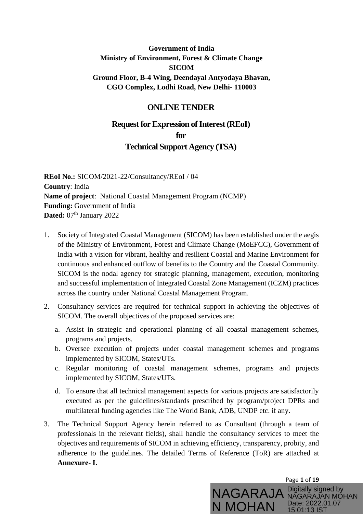### **Government of India Ministry of Environment, Forest & Climate Change SICOM Ground Floor, B-4 Wing, Deendayal Antyodaya Bhavan, CGO Complex, Lodhi Road, New Delhi- 110003**

## **ONLINE TENDER**

# **Request for Expression of Interest (REoI)**

**for**

### **Technical Support Agency (TSA)**

**REoI No.:** SICOM/2021-22/Consultancy/REoI / 04 **Country**: India **Name of project**: National Coastal Management Program (NCMP) **Funding:** Government of India Dated: 07<sup>th</sup> January 2022

- 1. Society of Integrated Coastal Management (SICOM) has been established under the aegis of the Ministry of Environment, Forest and Climate Change (MoEFCC), Government of India with a vision for vibrant, healthy and resilient Coastal and Marine Environment for continuous and enhanced outflow of benefits to the Country and the Coastal Community. SICOM is the nodal agency for strategic planning, management, execution, monitoring and successful implementation of Integrated Coastal Zone Management (ICZM) practices across the country under National Coastal Management Program.
- 2. Consultancy services are required for technical support in achieving the objectives of SICOM. The overall objectives of the proposed services are:
	- a. Assist in strategic and operational planning of all coastal management schemes, programs and projects.
	- b. Oversee execution of projects under coastal management schemes and programs implemented by SICOM, States/UTs.
	- c. Regular monitoring of coastal management schemes, programs and projects implemented by SICOM, States/UTs.
	- d. To ensure that all technical management aspects for various projects are satisfactorily executed as per the guidelines/standards prescribed by program/project DPRs and multilateral funding agencies like The World Bank, ADB, UNDP etc. if any.
- 3. The Technical Support Agency herein referred to as Consultant (through a team of professionals in the relevant fields), shall handle the consultancy services to meet the objectives and requirements of SICOM in achieving efficiency, transparency, probity, and adherence to the guidelines. The detailed Terms of Reference (ToR) are attached at **Annexure- I.**

Page **1** of **19** NAGARAJA Digitally signed by N MOHAN Date: 2022.01.07 NAGARAJAN MOHAN 15:01:13 IST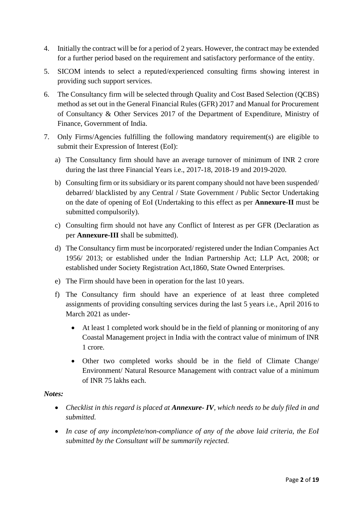- 4. Initially the contract will be for a period of 2 years. However, the contract may be extended for a further period based on the requirement and satisfactory performance of the entity.
- 5. SICOM intends to select a reputed/experienced consulting firms showing interest in providing such support services.
- 6. The Consultancy firm will be selected through Quality and Cost Based Selection (QCBS) method as set out in the General Financial Rules (GFR) 2017 and Manual for Procurement of Consultancy & Other Services 2017 of the Department of Expenditure, Ministry of Finance, Government of India.
- 7. Only Firms/Agencies fulfilling the following mandatory requirement(s) are eligible to submit their Expression of Interest (EoI):
	- a) The Consultancy firm should have an average turnover of minimum of INR 2 crore during the last three Financial Years i.e., 2017-18, 2018-19 and 2019-2020.
	- b) Consulting firm or its subsidiary or its parent company should not have been suspended/ debarred/ blacklisted by any Central / State Government / Public Sector Undertaking on the date of opening of EoI (Undertaking to this effect as per **Annexure-II** must be submitted compulsorily).
	- c) Consulting firm should not have any Conflict of Interest as per GFR (Declaration as per **Annexure-III** shall be submitted).
	- d) The Consultancy firm must be incorporated/ registered under the Indian Companies Act 1956/ 2013; or established under the Indian Partnership Act; LLP Act, 2008; or established under Society Registration Act,1860, State Owned Enterprises.
	- e) The Firm should have been in operation for the last 10 years.
	- f) The Consultancy firm should have an experience of at least three completed assignments of providing consulting services during the last 5 years i.e., April 2016 to March 2021 as under-
		- At least 1 completed work should be in the field of planning or monitoring of any Coastal Management project in India with the contract value of minimum of INR 1 crore.
		- Other two completed works should be in the field of Climate Change/ Environment/ Natural Resource Management with contract value of a minimum of INR 75 lakhs each.

#### *Notes:*

- *Checklist in this regard is placed at Annexure- IV, which needs to be duly filed in and submitted.*
- *In case of any incomplete/non-compliance of any of the above laid criteria, the EoI submitted by the Consultant will be summarily rejected.*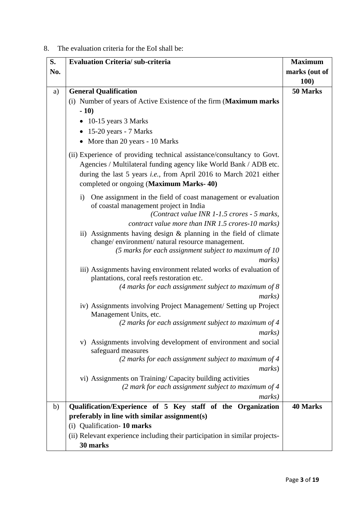### 8. The evaluation criteria for the EoI shall be:

| S.  | <b>Evaluation Criteria/sub-criteria</b>                                                                                                                                                                                                                              | <b>Maximum</b>  |
|-----|----------------------------------------------------------------------------------------------------------------------------------------------------------------------------------------------------------------------------------------------------------------------|-----------------|
| No. |                                                                                                                                                                                                                                                                      | marks (out of   |
|     |                                                                                                                                                                                                                                                                      | 100)            |
| a)  | <b>General Qualification</b>                                                                                                                                                                                                                                         | 50 Marks        |
|     | (i) Number of years of Active Existence of the firm (Maximum marks                                                                                                                                                                                                   |                 |
|     | $-10)$                                                                                                                                                                                                                                                               |                 |
|     | • 10-15 years 3 Marks                                                                                                                                                                                                                                                |                 |
|     | $\bullet$ 15-20 years - 7 Marks                                                                                                                                                                                                                                      |                 |
|     | • More than 20 years - 10 Marks                                                                                                                                                                                                                                      |                 |
|     | (ii) Experience of providing technical assistance/consultancy to Govt.<br>Agencies / Multilateral funding agency like World Bank / ADB etc.<br>during the last 5 years <i>i.e.</i> , from April 2016 to March 2021 either<br>completed or ongoing (Maximum Marks-40) |                 |
|     | One assignment in the field of coast management or evaluation<br>$\mathbf{i}$<br>of coastal management project in India<br>(Contract value INR 1-1.5 crores - 5 marks,<br>contract value more than INR 1.5 crores-10 marks)                                          |                 |
|     | ii) Assignments having design & planning in the field of climate<br>change/environment/natural resource management.<br>(5 marks for each assignment subject to maximum of 10<br>marks)                                                                               |                 |
|     | iii) Assignments having environment related works of evaluation of<br>plantations, coral reefs restoration etc.<br>(4 marks for each assignment subject to maximum of $8$ )                                                                                          |                 |
|     | <i>marks</i> )                                                                                                                                                                                                                                                       |                 |
|     | iv) Assignments involving Project Management/ Setting up Project<br>Management Units, etc.                                                                                                                                                                           |                 |
|     | $(2 \text{ marks for each assignment subject to maximum of } 4$<br><i>marks</i> )                                                                                                                                                                                    |                 |
|     | Assignments involving development of environment and social<br>V)<br>safeguard measures                                                                                                                                                                              |                 |
|     | (2 marks for each assignment subject to maximum of $4$<br><i>marks</i> )                                                                                                                                                                                             |                 |
|     | vi) Assignments on Training/Capacity building activities<br>(2 mark for each assignment subject to maximum of 4<br><i>marks</i> )                                                                                                                                    |                 |
| b)  | Qualification/Experience of 5 Key staff of the Organization                                                                                                                                                                                                          | <b>40 Marks</b> |
|     | preferably in line with similar assignment(s)                                                                                                                                                                                                                        |                 |
|     | Qualification-10 marks<br>(i)                                                                                                                                                                                                                                        |                 |
|     | (ii) Relevant experience including their participation in similar projects-                                                                                                                                                                                          |                 |
|     | 30 marks                                                                                                                                                                                                                                                             |                 |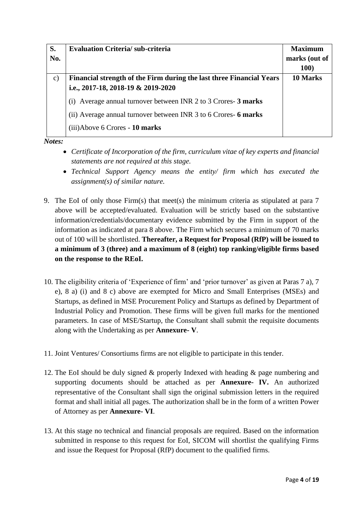| S.            | <b>Evaluation Criteria/sub-criteria</b>                              | <b>Maximum</b> |
|---------------|----------------------------------------------------------------------|----------------|
| No.           |                                                                      | marks (out of  |
|               |                                                                      | <b>100)</b>    |
| $\mathbf{c})$ | Financial strength of the Firm during the last three Financial Years | 10 Marks       |
|               | i.e., 2017-18, 2018-19 & 2019-2020                                   |                |
|               | Average annual turnover between INR 2 to 3 Crores- 3 marks           |                |
|               | (ii) Average annual turnover between INR 3 to 6 Crores- 6 marks      |                |
|               | (iii)Above 6 Crores - 10 marks                                       |                |

*Notes:* 

- *Certificate of Incorporation of the firm, curriculum vitae of key experts and financial statements are not required at this stage.*
- *Technical Support Agency means the entity/ firm which has executed the assignment(s) of similar nature.*
- 9. The EoI of only those Firm(s) that meet(s) the minimum criteria as stipulated at para 7 above will be accepted/evaluated. Evaluation will be strictly based on the substantive information/credentials/documentary evidence submitted by the Firm in support of the information as indicated at para 8 above. The Firm which secures a minimum of 70 marks out of 100 will be shortlisted. **Thereafter, a Request for Proposal (RfP) will be issued to a minimum of 3 (three) and a maximum of 8 (eight) top ranking/eligible firms based on the response to the REoI.**
- 10. The eligibility criteria of 'Experience of firm' and 'prior turnover' as given at Paras 7 a), 7 e), 8 a) (i) and 8 c) above are exempted for Micro and Small Enterprises (MSEs) and Startups, as defined in MSE Procurement Policy and Startups as defined by Department of Industrial Policy and Promotion. These firms will be given full marks for the mentioned parameters. In case of MSE/Startup, the Consultant shall submit the requisite documents along with the Undertaking as per **Annexure- V**.
- 11. Joint Ventures/ Consortiums firms are not eligible to participate in this tender.
- 12. The EoI should be duly signed & properly Indexed with heading & page numbering and supporting documents should be attached as per **Annexure- IV.** An authorized representative of the Consultant shall sign the original submission letters in the required format and shall initial all pages. The authorization shall be in the form of a written Power of Attorney as per **Annexure- VI**.
- 13. At this stage no technical and financial proposals are required. Based on the information submitted in response to this request for EoI, SICOM will shortlist the qualifying Firms and issue the Request for Proposal (RfP) document to the qualified firms.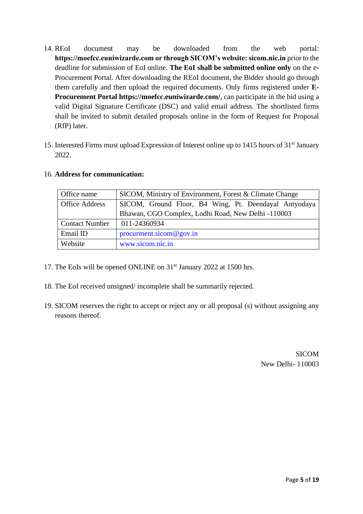- 14. REoI document may be downloaded from the web portal: **https://moefcc.euniwizarde.com or through SICOM's website: sicom.nic.in** prior to the deadline for submission of EoI online. **The EoI shall be submitted online only** on the e-Procurement Portal. After downloading the REoI document, the Bidder should go through them carefully and then upload the required documents. Only firms registered under **E-Procurement Portal https://moefcc.euniwizarde.com/**, can participate in the bid using a valid Digital Signature Certificate (DSC) and valid email address. The shortlisted firms shall be invited to submit detailed proposals online in the form of Request for Proposal (RfP) later.
- 15. Interested Firms must upload Expression of Interest online up to 1415 hours of 31<sup>st</sup> January 2022.

| Office name           | SICOM, Ministry of Environment, Forest & Climate Change |  |  |  |  |
|-----------------------|---------------------------------------------------------|--|--|--|--|
| <b>Office Address</b> | SICOM, Ground Floor, B4 Wing, Pt. Deendayal Antyodaya   |  |  |  |  |
|                       | Bhawan, CGO Complex, Lodhi Road, New Delhi -110003      |  |  |  |  |
| <b>Contact Number</b> | 011-24360934                                            |  |  |  |  |
| Email ID              | procurrent.sicom@gov.in                                 |  |  |  |  |
| Website               | www.sicom.nic.in                                        |  |  |  |  |
|                       |                                                         |  |  |  |  |

#### 16. **Address for communication:**

- 17. The EoIs will be opened ONLINE on 31<sup>st</sup> January 2022 at 1500 hrs.
- 18. The EoI received unsigned/ incomplete shall be summarily rejected.
- 19. SICOM reserves the right to accept or reject any or all proposal (s) without assigning any reasons thereof.

SICOM New Delhi- 110003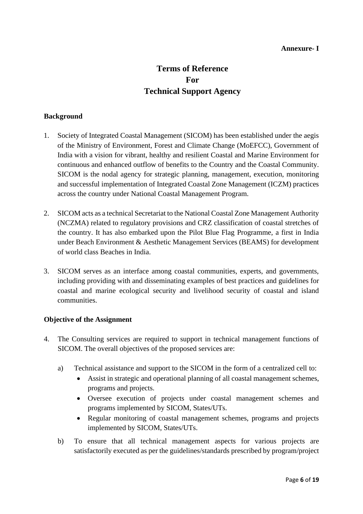#### **Annexure- I**

## **Terms of Reference For Technical Support Agency**

#### **Background**

- 1. Society of Integrated Coastal Management (SICOM) has been established under the aegis of the Ministry of Environment, Forest and Climate Change (MoEFCC), Government of India with a vision for vibrant, healthy and resilient Coastal and Marine Environment for continuous and enhanced outflow of benefits to the Country and the Coastal Community. SICOM is the nodal agency for strategic planning, management, execution, monitoring and successful implementation of Integrated Coastal Zone Management (ICZM) practices across the country under National Coastal Management Program.
- 2. SICOM acts as a technical Secretariat to the National Coastal Zone Management Authority (NCZMA) related to regulatory provisions and CRZ classification of coastal stretches of the country. It has also embarked upon the Pilot Blue Flag Programme, a first in India under Beach Environment & Aesthetic Management Services (BEAMS) for development of world class Beaches in India.
- 3. SICOM serves as an interface among coastal communities, experts, and governments, including providing with and disseminating examples of best practices and guidelines for coastal and marine ecological security and livelihood security of coastal and island communities.

#### **Objective of the Assignment**

- 4. The Consulting services are required to support in technical management functions of SICOM. The overall objectives of the proposed services are:
	- a) Technical assistance and support to the SICOM in the form of a centralized cell to:
		- Assist in strategic and operational planning of all coastal management schemes, programs and projects.
		- Oversee execution of projects under coastal management schemes and programs implemented by SICOM, States/UTs.
		- Regular monitoring of coastal management schemes, programs and projects implemented by SICOM, States/UTs.
	- b) To ensure that all technical management aspects for various projects are satisfactorily executed as per the guidelines/standards prescribed by program/project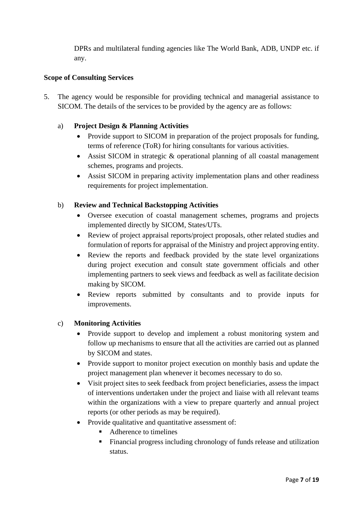DPRs and multilateral funding agencies like The World Bank, ADB, UNDP etc. if any.

#### **Scope of Consulting Services**

5. The agency would be responsible for providing technical and managerial assistance to SICOM. The details of the services to be provided by the agency are as follows:

#### a) **Project Design & Planning Activities**

- Provide support to SICOM in preparation of the project proposals for funding, terms of reference (ToR) for hiring consultants for various activities.
- Assist SICOM in strategic & operational planning of all coastal management schemes, programs and projects.
- Assist SICOM in preparing activity implementation plans and other readiness requirements for project implementation.

#### b) **Review and Technical Backstopping Activities**

- Oversee execution of coastal management schemes, programs and projects implemented directly by SICOM, States/UTs.
- Review of project appraisal reports/project proposals, other related studies and formulation of reports for appraisal of the Ministry and project approving entity.
- Review the reports and feedback provided by the state level organizations during project execution and consult state government officials and other implementing partners to seek views and feedback as well as facilitate decision making by SICOM.
- Review reports submitted by consultants and to provide inputs for improvements.

#### c) **Monitoring Activities**

- Provide support to develop and implement a robust monitoring system and follow up mechanisms to ensure that all the activities are carried out as planned by SICOM and states.
- Provide support to monitor project execution on monthly basis and update the project management plan whenever it becomes necessary to do so.
- Visit project sites to seek feedback from project beneficiaries, assess the impact of interventions undertaken under the project and liaise with all relevant teams within the organizations with a view to prepare quarterly and annual project reports (or other periods as may be required).
- Provide qualitative and quantitative assessment of:
	- Adherence to timelines
	- Financial progress including chronology of funds release and utilization status.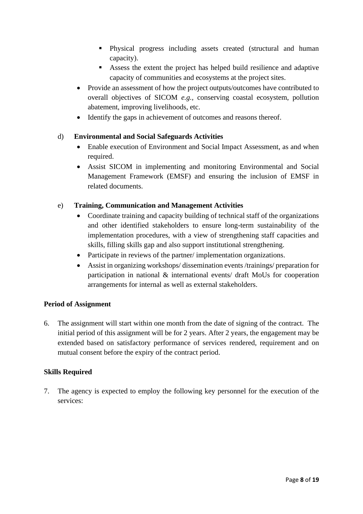- Physical progress including assets created (structural and human capacity).
- Assess the extent the project has helped build resilience and adaptive capacity of communities and ecosystems at the project sites.
- Provide an assessment of how the project outputs/outcomes have contributed to overall objectives of SICOM *e.g.,* conserving coastal ecosystem, pollution abatement, improving livelihoods, etc.
- Identify the gaps in achievement of outcomes and reasons thereof.

#### d) **Environmental and Social Safeguards Activities**

- Enable execution of Environment and Social Impact Assessment, as and when required.
- Assist SICOM in implementing and monitoring Environmental and Social Management Framework (EMSF) and ensuring the inclusion of EMSF in related documents.

#### e) **Training, Communication and Management Activities**

- Coordinate training and capacity building of technical staff of the organizations and other identified stakeholders to ensure long-term sustainability of the implementation procedures, with a view of strengthening staff capacities and skills, filling skills gap and also support institutional strengthening.
- Participate in reviews of the partner/ implementation organizations.
- Assist in organizing workshops/ dissemination events /trainings/ preparation for participation in national & international events/ draft MoUs for cooperation arrangements for internal as well as external stakeholders.

#### **Period of Assignment**

6. The assignment will start within one month from the date of signing of the contract. The initial period of this assignment will be for 2 years. After 2 years, the engagement may be extended based on satisfactory performance of services rendered, requirement and on mutual consent before the expiry of the contract period.

#### **Skills Required**

7. The agency is expected to employ the following key personnel for the execution of the services: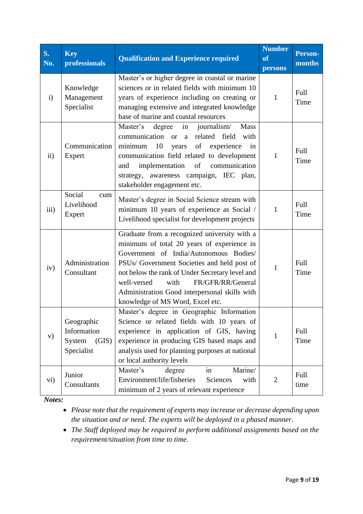| <b>S.</b><br>No. | <b>Key</b><br>professionals                                | <b>Qualification and Experience required</b>                                                                                                                                                                                                                                                                                                                            | <b>Number</b><br><b>of</b><br>persons | <b>Person-</b><br>months |
|------------------|------------------------------------------------------------|-------------------------------------------------------------------------------------------------------------------------------------------------------------------------------------------------------------------------------------------------------------------------------------------------------------------------------------------------------------------------|---------------------------------------|--------------------------|
| $\mathbf{i}$     | Knowledge<br>Management<br>Specialist                      | Master's or higher degree in coastal or marine<br>sciences or in related fields with minimum 10<br>years of experience including on creating or<br>managing extensive and integrated knowledge<br>base of marine and coastal resources                                                                                                                                  | 1                                     | Full<br>Time             |
| $\rm ii)$        | Communication<br>Expert                                    | Master's<br>journalism/<br><b>Mass</b><br>degree<br>in<br>related field<br>communication or a<br>with<br>10<br>of<br>minimum<br>experience<br>years<br>in<br>communication field related to development<br>implementation<br>of<br>communication<br>and<br>strategy, awareness campaign, IEC plan,<br>stakeholder engagement etc.                                       | 1                                     | Full<br>Time             |
| iii)             | Social<br>cum<br>Livelihood<br>Expert                      | Master's degree in Social Science stream with<br>minimum 10 years of experience as Social /<br>Livelihood specialist for development projects                                                                                                                                                                                                                           | 1                                     | Full<br>Time             |
| iv)              | Administration<br>Consultant                               | Graduate from a recognized university with a<br>minimum of total 20 years of experience in<br>Government of India/Autonomous Bodies/<br>PSUs/ Government Societies and held post of<br>not below the rank of Under Secretary level and<br>FR/GFR/RR/General<br>well-versed<br>with<br>Administration Good interpersonal skills with<br>knowledge of MS Word, Excel etc. | 1                                     | Full<br>Time             |
| V)               | Geographic<br>Information<br>System<br>(GIS)<br>Specialist | Master's degree in Geographic Information<br>Science or related fields with 10 years of<br>experience in application of GIS, having<br>experience in producing GIS based maps and<br>analysis used for planning purposes at national<br>or local authority levels                                                                                                       | 1                                     | Full<br>Time             |
| vi)              | Junior<br>Consultants                                      | Marine/<br>Master's<br>degree<br>in<br>Environment/life/fisheries<br>Sciences<br>with<br>minimum of 2 years of relevant experience                                                                                                                                                                                                                                      | $\mathfrak{2}$                        | Full<br>time             |

*Notes:* 

• *Please note that the requirement of experts may increase or decrease depending upon the situation and or need. The experts will be deployed in a phased manner.* 

• *The Staff deployed may be required to perform additional assignments based on the requirement/situation from time to time.*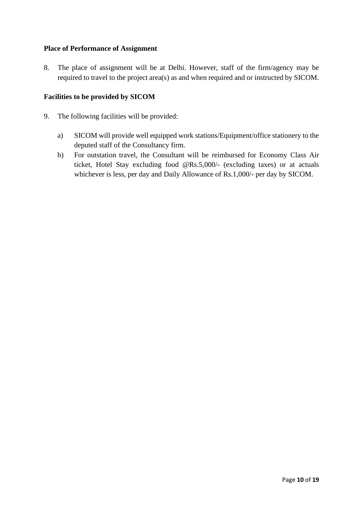#### **Place of Performance of Assignment**

8. The place of assignment will be at Delhi. However, staff of the firm/agency may be required to travel to the project area(s) as and when required and or instructed by SICOM.

#### **Facilities to be provided by SICOM**

- 9. The following facilities will be provided:
	- a) SICOM will provide well equipped work stations/Equipment/office stationery to the deputed staff of the Consultancy firm.
	- b) For outstation travel, the Consultant will be reimbursed for Economy Class Air ticket, Hotel Stay excluding food @Rs.5,000/- (excluding taxes) or at actuals whichever is less, per day and Daily Allowance of Rs.1,000/- per day by SICOM.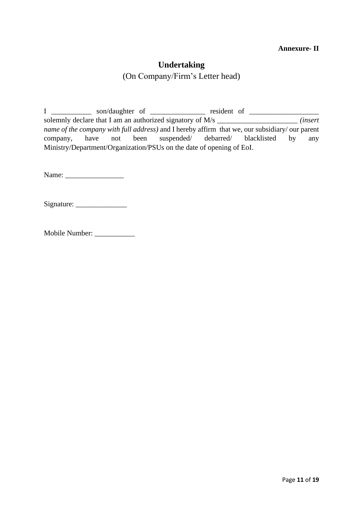#### **Annexure- II**

## **Undertaking**

(On Company/Firm's Letter head)

I \_\_\_\_\_\_\_\_\_\_\_ son/daughter of \_\_\_\_\_\_\_\_\_\_\_\_\_\_\_ resident of \_\_\_\_\_\_\_\_\_\_\_\_\_\_\_\_\_\_\_ solemnly declare that I am an authorized signatory of M/s \_\_\_\_\_\_\_\_\_\_\_\_\_\_\_\_\_\_\_\_\_\_ *(insert name of the company with full address)* and I hereby affirm that we, our subsidiary/ our parent company, have not been suspended/ debarred/ blacklisted by any Ministry/Department/Organization/PSUs on the date of opening of EoI.

Name: \_\_\_\_\_\_\_\_\_\_\_\_\_\_\_\_

Signature:

Mobile Number: \_\_\_\_\_\_\_\_\_\_\_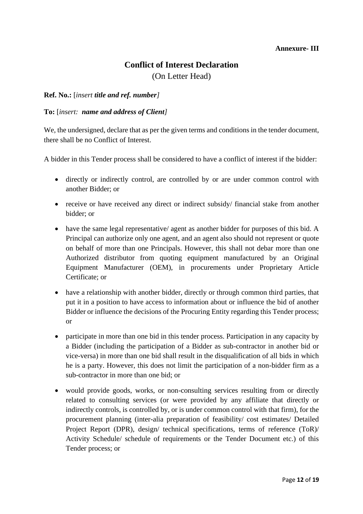#### **Annexure- III**

## **Conflict of Interest Declaration**

(On Letter Head)

#### **Ref. No.:** [*insert title and ref. number]*

#### **To:** [*insert: name and address of Client]*

We, the undersigned, declare that as per the given terms and conditions in the tender document, there shall be no Conflict of Interest.

A bidder in this Tender process shall be considered to have a conflict of interest if the bidder:

- directly or indirectly control, are controlled by or are under common control with another Bidder; or
- receive or have received any direct or indirect subsidy/ financial stake from another bidder; or
- have the same legal representative/ agent as another bidder for purposes of this bid. A Principal can authorize only one agent, and an agent also should not represent or quote on behalf of more than one Principals. However, this shall not debar more than one Authorized distributor from quoting equipment manufactured by an Original Equipment Manufacturer (OEM), in procurements under Proprietary Article Certificate; or
- have a relationship with another bidder, directly or through common third parties, that put it in a position to have access to information about or influence the bid of another Bidder or influence the decisions of the Procuring Entity regarding this Tender process; or
- participate in more than one bid in this tender process. Participation in any capacity by a Bidder (including the participation of a Bidder as sub-contractor in another bid or vice-versa) in more than one bid shall result in the disqualification of all bids in which he is a party. However, this does not limit the participation of a non-bidder firm as a sub-contractor in more than one bid; or
- would provide goods, works, or non-consulting services resulting from or directly related to consulting services (or were provided by any affiliate that directly or indirectly controls, is controlled by, or is under common control with that firm), for the procurement planning (inter-alia preparation of feasibility/ cost estimates/ Detailed Project Report (DPR), design/ technical specifications, terms of reference (ToR)/ Activity Schedule/ schedule of requirements or the Tender Document etc.) of this Tender process; or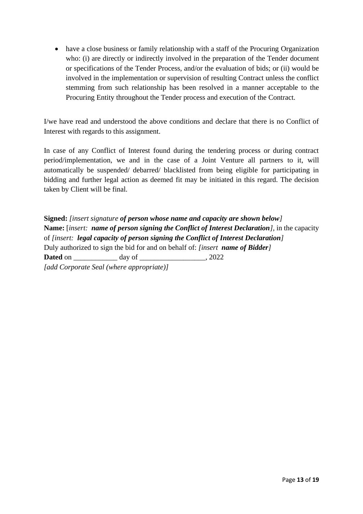• have a close business or family relationship with a staff of the Procuring Organization who: (i) are directly or indirectly involved in the preparation of the Tender document or specifications of the Tender Process, and/or the evaluation of bids; or (ii) would be involved in the implementation or supervision of resulting Contract unless the conflict stemming from such relationship has been resolved in a manner acceptable to the Procuring Entity throughout the Tender process and execution of the Contract.

I/we have read and understood the above conditions and declare that there is no Conflict of Interest with regards to this assignment.

In case of any Conflict of Interest found during the tendering process or during contract period/implementation, we and in the case of a Joint Venture all partners to it, will automatically be suspended/ debarred/ blacklisted from being eligible for participating in bidding and further legal action as deemed fit may be initiated in this regard. The decision taken by Client will be final.

**Signed:** *[insert signature of person whose name and capacity are shown below]* **Name:** [*insert: name of person signing the Conflict of Interest Declaration],* in the capacity of *[insert: legal capacity of person signing the Conflict of Interest Declaration]* Duly authorized to sign the bid for and on behalf of: *[insert name of Bidder]* **Dated** on day of 2022 *[add Corporate Seal (where appropriate)]*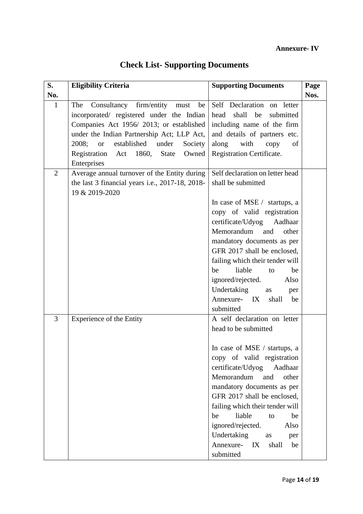## **Annexure- IV**

| S.             | <b>Eligibility Criteria</b>                                                                                                                                                                                                                                                                                       | <b>Supporting Documents</b>                                                                                                                                                                                                                                                                                                                                                                                          | Page |
|----------------|-------------------------------------------------------------------------------------------------------------------------------------------------------------------------------------------------------------------------------------------------------------------------------------------------------------------|----------------------------------------------------------------------------------------------------------------------------------------------------------------------------------------------------------------------------------------------------------------------------------------------------------------------------------------------------------------------------------------------------------------------|------|
| No.            |                                                                                                                                                                                                                                                                                                                   |                                                                                                                                                                                                                                                                                                                                                                                                                      | Nos. |
| $\mathbf{1}$   | Consultancy firm/entity<br>The<br>be<br>must<br>incorporated/ registered under the Indian<br>Companies Act 1956/2013; or established<br>under the Indian Partnership Act; LLP Act,<br>established<br>2008;<br><sub>or</sub><br>under<br>Society<br>Registration Act 1860,<br><b>State</b><br>Owned<br>Enterprises | Self Declaration on letter<br>head<br>submitted<br>shall be<br>including name of the firm<br>and details of partners etc.<br>along<br>with<br>copy<br>of<br>Registration Certificate.                                                                                                                                                                                                                                |      |
| $\overline{2}$ | Average annual turnover of the Entity during<br>the last 3 financial years i.e., 2017-18, 2018-<br>19 & 2019-2020                                                                                                                                                                                                 | Self declaration on letter head<br>shall be submitted<br>In case of MSE / startups, a<br>copy of valid registration<br>certificate/Udyog Aadhaar<br>Memorandum<br>and<br>other<br>mandatory documents as per<br>GFR 2017 shall be enclosed,<br>failing which their tender will<br>liable<br>be<br>to<br>be<br>ignored/rejected.<br>Also<br>Undertaking<br>as<br>per<br>Annexure- IX<br>shall<br>be<br>submitted      |      |
| 3              | Experience of the Entity                                                                                                                                                                                                                                                                                          | A self declaration on letter<br>head to be submitted<br>In case of MSE / startups, a<br>copy of valid registration<br>certificate/Udyog<br>Aadhaar<br>Memorandum<br>and<br>other<br>mandatory documents as per<br>GFR 2017 shall be enclosed,<br>failing which their tender will<br>liable<br>be<br>be<br>to<br>ignored/rejected.<br>Also<br>Undertaking<br>as<br>per<br>Annexure-<br>IX<br>shall<br>be<br>submitted |      |

# **Check List- Supporting Documents**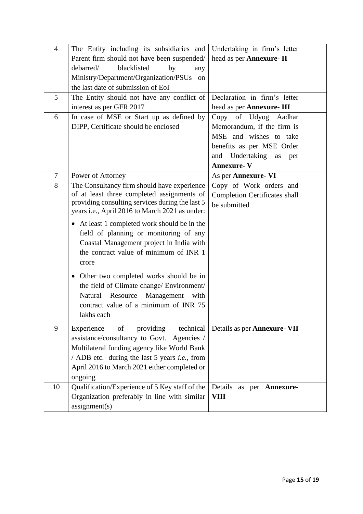| $\overline{4}$ | The Entity including its subsidiaries and             | Undertaking in firm's letter         |  |
|----------------|-------------------------------------------------------|--------------------------------------|--|
|                | Parent firm should not have been suspended/           | head as per Annexure- II             |  |
|                | debarred/<br>blacklisted<br>by<br>any                 |                                      |  |
|                | Ministry/Department/Organization/PSUs<br>on           |                                      |  |
|                | the last date of submission of EoI                    |                                      |  |
| 5              | The Entity should not have any conflict of            | Declaration in firm's letter         |  |
|                | interest as per GFR 2017                              | head as per Annexure- III            |  |
| 6              | In case of MSE or Start up as defined by              | of Udyog<br>Copy<br>Aadhar           |  |
|                | DIPP, Certificate should be enclosed                  | Memorandum, if the firm is           |  |
|                |                                                       | MSE and wishes to take               |  |
|                |                                                       | benefits as per MSE Order            |  |
|                |                                                       | and Undertaking<br>as<br>per         |  |
|                |                                                       | <b>Annexure-V</b>                    |  |
| 7              | Power of Attorney                                     | As per Annexure-VI                   |  |
| 8              | The Consultancy firm should have experience           | Copy of Work orders and              |  |
|                | of at least three completed assignments of            | <b>Completion Certificates shall</b> |  |
|                | providing consulting services during the last 5       | be submitted                         |  |
|                | years i.e., April 2016 to March 2021 as under:        |                                      |  |
|                | • At least 1 completed work should be in the          |                                      |  |
|                | field of planning or monitoring of any                |                                      |  |
|                | Coastal Management project in India with              |                                      |  |
|                | the contract value of minimum of INR 1                |                                      |  |
|                | crore                                                 |                                      |  |
|                | • Other two completed works should be in              |                                      |  |
|                | the field of Climate change/ Environment/             |                                      |  |
|                | Natural Resource<br>Management<br>with                |                                      |  |
|                | contract value of a minimum of INR 75                 |                                      |  |
|                | lakhs each                                            |                                      |  |
|                |                                                       |                                      |  |
| 9              | of<br>providing<br>technical<br>Experience            | Details as per <b>Annexure</b> - VII |  |
|                | assistance/consultancy to Govt. Agencies /            |                                      |  |
|                | Multilateral funding agency like World Bank           |                                      |  |
|                | / ADB etc. during the last 5 years <i>i.e.</i> , from |                                      |  |
|                | April 2016 to March 2021 either completed or          |                                      |  |
|                | ongoing                                               |                                      |  |
| 10             | Qualification/Experience of 5 Key staff of the        | Details as per Annexure-             |  |
|                | Organization preferably in line with similar          | <b>VIII</b>                          |  |
|                | assignment(s)                                         |                                      |  |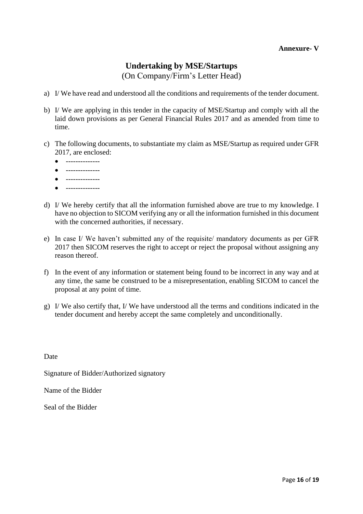## **Undertaking by MSE/Startups**

(On Company/Firm's Letter Head)

- a) I/ We have read and understood all the conditions and requirements of the tender document.
- b) I/ We are applying in this tender in the capacity of MSE/Startup and comply with all the laid down provisions as per General Financial Rules 2017 and as amended from time to time.
- c) The following documents, to substantiate my claim as MSE/Startup as required under GFR 2017, are enclosed:
	- --------------
	- --------------
	- --------------
	- --------------
- d) I/ We hereby certify that all the information furnished above are true to my knowledge. I have no objection to SICOM verifying any or all the information furnished in this document with the concerned authorities, if necessary.
- e) In case I/ We haven't submitted any of the requisite/ mandatory documents as per GFR 2017 then SICOM reserves the right to accept or reject the proposal without assigning any reason thereof.
- f) In the event of any information or statement being found to be incorrect in any way and at any time, the same be construed to be a misrepresentation, enabling SICOM to cancel the proposal at any point of time.
- g) I/ We also certify that, I/ We have understood all the terms and conditions indicated in the tender document and hereby accept the same completely and unconditionally.

Date

Signature of Bidder/Authorized signatory

Name of the Bidder

Seal of the Bidder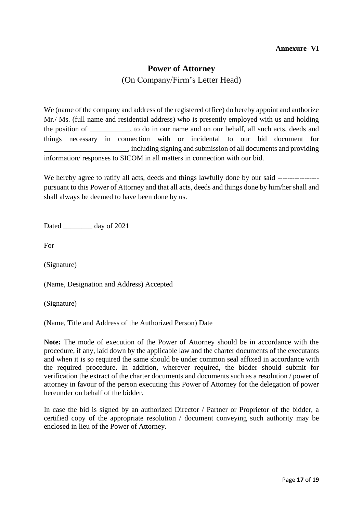#### **Annexure- VI**

#### **Power of Attorney**

(On Company/Firm's Letter Head)

We (name of the company and address of the registered office) do hereby appoint and authorize Mr./ Ms. (full name and residential address) who is presently employed with us and holding the position of \_\_\_\_\_\_\_\_\_\_\_, to do in our name and on our behalf, all such acts, deeds and things necessary in connection with or incidental to our bid document for **\_\_\_\_\_\_\_\_\_\_\_\_\_\_\_\_\_\_\_\_\_\_\_**, including signing and submission of all documents and providing information/ responses to SICOM in all matters in connection with our bid.

We hereby agree to ratify all acts, deeds and things lawfully done by our said ------------------------------pursuant to this Power of Attorney and that all acts, deeds and things done by him/her shall and shall always be deemed to have been done by us.

Dated day of 2021

For

(Signature)

(Name, Designation and Address) Accepted

(Signature)

(Name, Title and Address of the Authorized Person) Date

**Note:** The mode of execution of the Power of Attorney should be in accordance with the procedure, if any, laid down by the applicable law and the charter documents of the executants and when it is so required the same should be under common seal affixed in accordance with the required procedure. In addition, wherever required, the bidder should submit for verification the extract of the charter documents and documents such as a resolution / power of attorney in favour of the person executing this Power of Attorney for the delegation of power hereunder on behalf of the bidder.

In case the bid is signed by an authorized Director / Partner or Proprietor of the bidder, a certified copy of the appropriate resolution / document conveying such authority may be enclosed in lieu of the Power of Attorney.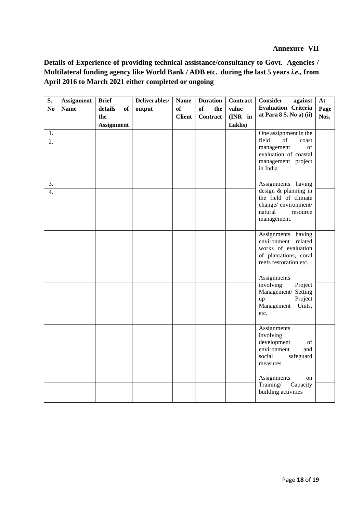#### **Annexure- VII**

**Details of Experience of providing technical assistance/consultancy to Govt. Agencies / Multilateral funding agency like World Bank / ADB etc. during the last 5 years** *i.e.,* **from April 2016 to March 2021 either completed or ongoing**

| No<br><b>Name</b><br>of<br>of<br>details<br>output<br>the<br>value<br><b>of</b><br>at Para $8 S. No a$ $(iii)$<br><b>Client</b><br>(INR in<br>Nos.<br>the<br><b>Contract</b><br>Lakhs)<br><b>Assignment</b><br>1.<br>One assignment in the<br>field<br>$\sigma$ f<br>coast<br>2.<br>management<br><sub>or</sub><br>evaluation of coastal<br>management project<br>in India | S. | <b>Assignment</b> | <b>Brief</b> | Deliverables/ | <b>Name</b> | <b>Duration</b> | <b>Contract</b> | <b>Consider</b><br>against | At   |
|----------------------------------------------------------------------------------------------------------------------------------------------------------------------------------------------------------------------------------------------------------------------------------------------------------------------------------------------------------------------------|----|-------------------|--------------|---------------|-------------|-----------------|-----------------|----------------------------|------|
|                                                                                                                                                                                                                                                                                                                                                                            |    |                   |              |               |             |                 |                 | <b>Evaluation Criteria</b> | Page |
|                                                                                                                                                                                                                                                                                                                                                                            |    |                   |              |               |             |                 |                 |                            |      |
|                                                                                                                                                                                                                                                                                                                                                                            |    |                   |              |               |             |                 |                 |                            |      |
|                                                                                                                                                                                                                                                                                                                                                                            |    |                   |              |               |             |                 |                 |                            |      |
|                                                                                                                                                                                                                                                                                                                                                                            |    |                   |              |               |             |                 |                 |                            |      |
|                                                                                                                                                                                                                                                                                                                                                                            |    |                   |              |               |             |                 |                 |                            |      |
|                                                                                                                                                                                                                                                                                                                                                                            |    |                   |              |               |             |                 |                 |                            |      |
|                                                                                                                                                                                                                                                                                                                                                                            |    |                   |              |               |             |                 |                 |                            |      |
|                                                                                                                                                                                                                                                                                                                                                                            |    |                   |              |               |             |                 |                 |                            |      |
| 3.<br>Assignments having                                                                                                                                                                                                                                                                                                                                                   |    |                   |              |               |             |                 |                 |                            |      |
| design & planning in<br>$\overline{4}$ .                                                                                                                                                                                                                                                                                                                                   |    |                   |              |               |             |                 |                 |                            |      |
| the field of climate                                                                                                                                                                                                                                                                                                                                                       |    |                   |              |               |             |                 |                 |                            |      |
| change/environment/                                                                                                                                                                                                                                                                                                                                                        |    |                   |              |               |             |                 |                 |                            |      |
| natural<br>resource                                                                                                                                                                                                                                                                                                                                                        |    |                   |              |               |             |                 |                 |                            |      |
| management.                                                                                                                                                                                                                                                                                                                                                                |    |                   |              |               |             |                 |                 |                            |      |
|                                                                                                                                                                                                                                                                                                                                                                            |    |                   |              |               |             |                 |                 |                            |      |
| Assignments having<br>environment related                                                                                                                                                                                                                                                                                                                                  |    |                   |              |               |             |                 |                 |                            |      |
| works of evaluation                                                                                                                                                                                                                                                                                                                                                        |    |                   |              |               |             |                 |                 |                            |      |
| of plantations, coral                                                                                                                                                                                                                                                                                                                                                      |    |                   |              |               |             |                 |                 |                            |      |
| reefs restoration etc.                                                                                                                                                                                                                                                                                                                                                     |    |                   |              |               |             |                 |                 |                            |      |
|                                                                                                                                                                                                                                                                                                                                                                            |    |                   |              |               |             |                 |                 |                            |      |
| Assignments                                                                                                                                                                                                                                                                                                                                                                |    |                   |              |               |             |                 |                 |                            |      |
| involving<br>Project                                                                                                                                                                                                                                                                                                                                                       |    |                   |              |               |             |                 |                 |                            |      |
| Management/ Setting<br>Project                                                                                                                                                                                                                                                                                                                                             |    |                   |              |               |             |                 |                 |                            |      |
| up<br>Management<br>Units,                                                                                                                                                                                                                                                                                                                                                 |    |                   |              |               |             |                 |                 |                            |      |
| etc.                                                                                                                                                                                                                                                                                                                                                                       |    |                   |              |               |             |                 |                 |                            |      |
|                                                                                                                                                                                                                                                                                                                                                                            |    |                   |              |               |             |                 |                 |                            |      |
| Assignments                                                                                                                                                                                                                                                                                                                                                                |    |                   |              |               |             |                 |                 |                            |      |
| involving                                                                                                                                                                                                                                                                                                                                                                  |    |                   |              |               |             |                 |                 |                            |      |
| development<br>of                                                                                                                                                                                                                                                                                                                                                          |    |                   |              |               |             |                 |                 |                            |      |
| environment<br>and<br>social<br>safeguard                                                                                                                                                                                                                                                                                                                                  |    |                   |              |               |             |                 |                 |                            |      |
| measures                                                                                                                                                                                                                                                                                                                                                                   |    |                   |              |               |             |                 |                 |                            |      |
|                                                                                                                                                                                                                                                                                                                                                                            |    |                   |              |               |             |                 |                 |                            |      |
| Assignments<br>on                                                                                                                                                                                                                                                                                                                                                          |    |                   |              |               |             |                 |                 |                            |      |
| Training/<br>Capacity                                                                                                                                                                                                                                                                                                                                                      |    |                   |              |               |             |                 |                 |                            |      |
| building activities                                                                                                                                                                                                                                                                                                                                                        |    |                   |              |               |             |                 |                 |                            |      |